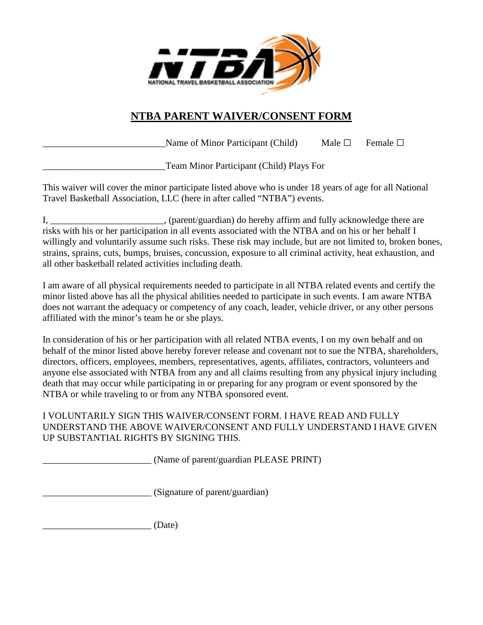

## **NTBA PARENT WAIVER/CONSENT FORM**

Name of Minor Participant (Child) Male  $\Box$  Female  $\Box$ 

Team Minor Participant (Child) Plays For

This waiver will cover the minor participate listed above who is under 18 years of age for all National Travel Basketball Association, LLC (here in after called "NTBA") events.

I, \_\_\_\_\_\_\_\_\_\_\_\_\_\_\_\_\_\_\_\_\_\_\_\_, (parent/guardian) do hereby affirm and fully acknowledge there are risks with his or her participation in all events associated with the NTBA and on his or her behalf I willingly and voluntarily assume such risks. These risk may include, but are not limited to, broken bones, strains, sprains, cuts, bumps, bruises, concussion, exposure to all criminal activity, heat exhaustion, and all other basketball related activities including death.

I am aware of all physical requirements needed to participate in all NTBA related events and certify the minor listed above has all the physical abilities needed to participate in such events. I am aware NTBA does not warrant the adequacy or competency of any coach, leader, vehicle driver, or any other persons affiliated with the minor's team he or she plays.

In consideration of his or her participation with all related NTBA events, I on my own behalf and on behalf of the minor listed above hereby forever release and covenant not to sue the NTBA, shareholders, directors, officers, employees, members, representatives, agents, affiliates, contractors, volunteers and anyone else associated with NTBA from any and all claims resulting from any physical injury including death that may occur while participating in or preparing for any program or event sponsored by the NTBA or while traveling to or from any NTBA sponsored event.

I VOLUNTARILY SIGN THIS WAIVER/CONSENT FORM. I HAVE READ AND FULLY UNDERSTAND THE ABOVE WAIVER/CONSENT AND FULLY UNDERSTAND I HAVE GIVEN UP SUBSTANTIAL RIGHTS BY SIGNING THIS.

\_\_\_\_\_\_\_\_\_\_\_\_\_\_\_\_\_\_\_\_\_\_\_ (Name of parent/guardian PLEASE PRINT)

\_\_\_\_\_\_\_\_\_\_\_\_\_\_\_\_\_\_\_\_\_\_\_ (Signature of parent/guardian)

 $(Date)$